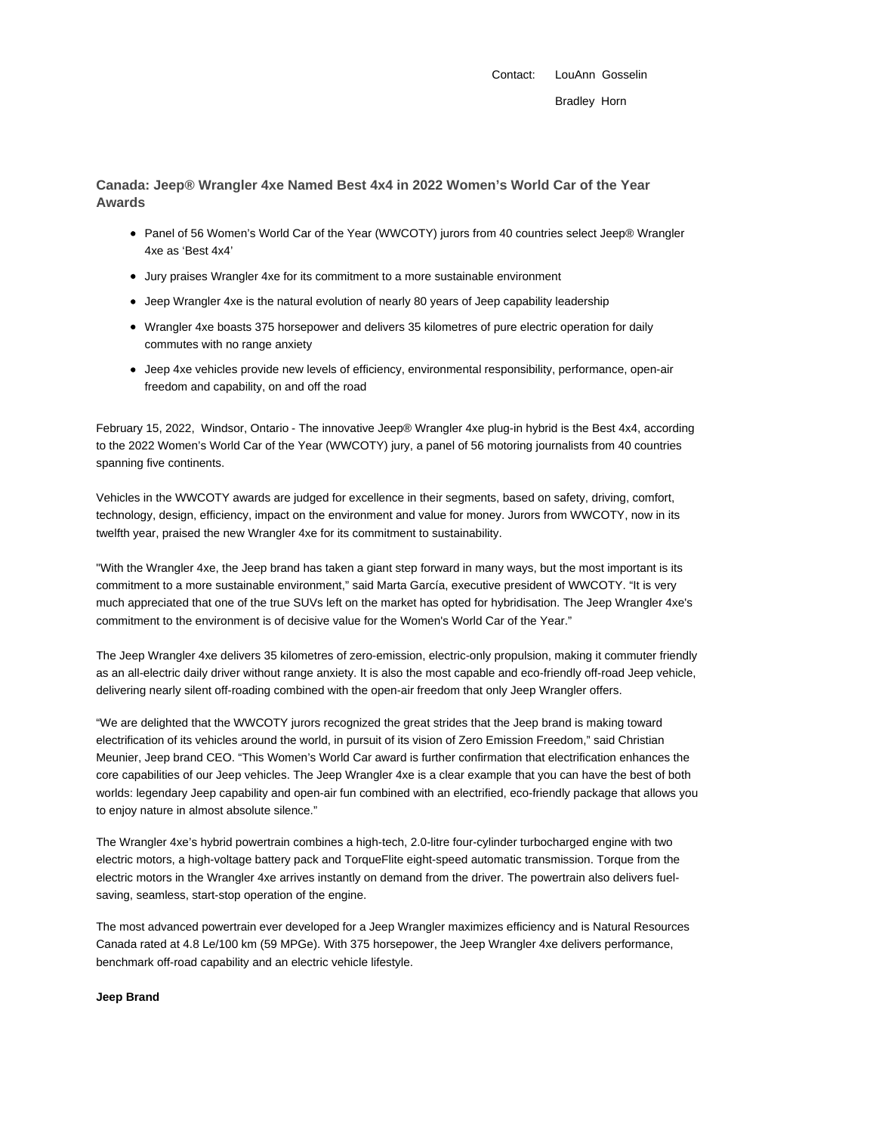Contact: LouAnn Gosselin Bradley Horn

**Canada: Jeep® Wrangler 4xe Named Best 4x4 in 2022 Women's World Car of the Year Awards**

- Panel of 56 Women's World Car of the Year (WWCOTY) jurors from 40 countries select Jeep® Wrangler 4xe as 'Best 4x4'
- Jury praises Wrangler 4xe for its commitment to a more sustainable environment
- Jeep Wrangler 4xe is the natural evolution of nearly 80 years of Jeep capability leadership
- Wrangler 4xe boasts 375 horsepower and delivers 35 kilometres of pure electric operation for daily commutes with no range anxiety
- Jeep 4xe vehicles provide new levels of efficiency, environmental responsibility, performance, open-air freedom and capability, on and off the road

February 15, 2022, Windsor, Ontario - The innovative Jeep® Wrangler 4xe plug-in hybrid is the Best 4x4, according to the 2022 Women's World Car of the Year (WWCOTY) jury, a panel of 56 motoring journalists from 40 countries spanning five continents.

Vehicles in the WWCOTY awards are judged for excellence in their segments, based on safety, driving, comfort, technology, design, efficiency, impact on the environment and value for money. Jurors from WWCOTY, now in its twelfth year, praised the new Wrangler 4xe for its commitment to sustainability.

"With the Wrangler 4xe, the Jeep brand has taken a giant step forward in many ways, but the most important is its commitment to a more sustainable environment," said Marta García, executive president of WWCOTY. "It is very much appreciated that one of the true SUVs left on the market has opted for hybridisation. The Jeep Wrangler 4xe's commitment to the environment is of decisive value for the Women's World Car of the Year."

The Jeep Wrangler 4xe delivers 35 kilometres of zero-emission, electric-only propulsion, making it commuter friendly as an all-electric daily driver without range anxiety. It is also the most capable and eco-friendly off-road Jeep vehicle, delivering nearly silent off-roading combined with the open-air freedom that only Jeep Wrangler offers.

"We are delighted that the WWCOTY jurors recognized the great strides that the Jeep brand is making toward electrification of its vehicles around the world, in pursuit of its vision of Zero Emission Freedom," said Christian Meunier, Jeep brand CEO. "This Women's World Car award is further confirmation that electrification enhances the core capabilities of our Jeep vehicles. The Jeep Wrangler 4xe is a clear example that you can have the best of both worlds: legendary Jeep capability and open-air fun combined with an electrified, eco-friendly package that allows you to enjoy nature in almost absolute silence."

The Wrangler 4xe's hybrid powertrain combines a high-tech, 2.0-litre four-cylinder turbocharged engine with two electric motors, a high-voltage battery pack and TorqueFlite eight-speed automatic transmission. Torque from the electric motors in the Wrangler 4xe arrives instantly on demand from the driver. The powertrain also delivers fuelsaving, seamless, start-stop operation of the engine.

The most advanced powertrain ever developed for a Jeep Wrangler maximizes efficiency and is Natural Resources Canada rated at 4.8 Le/100 km (59 MPGe). With 375 horsepower, the Jeep Wrangler 4xe delivers performance, benchmark off-road capability and an electric vehicle lifestyle.

## **Jeep Brand**